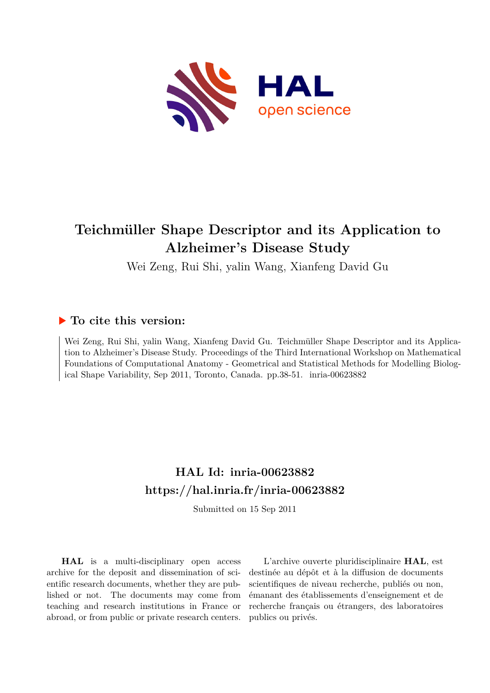

# **Teichmüller Shape Descriptor and its Application to Alzheimer's Disease Study**

Wei Zeng, Rui Shi, yalin Wang, Xianfeng David Gu

# **To cite this version:**

Wei Zeng, Rui Shi, yalin Wang, Xianfeng David Gu. Teichmüller Shape Descriptor and its Application to Alzheimer's Disease Study. Proceedings of the Third International Workshop on Mathematical Foundations of Computational Anatomy - Geometrical and Statistical Methods for Modelling Biological Shape Variability, Sep 2011, Toronto, Canada. pp.38-51. inria-00623882

# **HAL Id: inria-00623882 <https://hal.inria.fr/inria-00623882>**

Submitted on 15 Sep 2011

**HAL** is a multi-disciplinary open access archive for the deposit and dissemination of scientific research documents, whether they are published or not. The documents may come from teaching and research institutions in France or abroad, or from public or private research centers.

L'archive ouverte pluridisciplinaire **HAL**, est destinée au dépôt et à la diffusion de documents scientifiques de niveau recherche, publiés ou non, émanant des établissements d'enseignement et de recherche français ou étrangers, des laboratoires publics ou privés.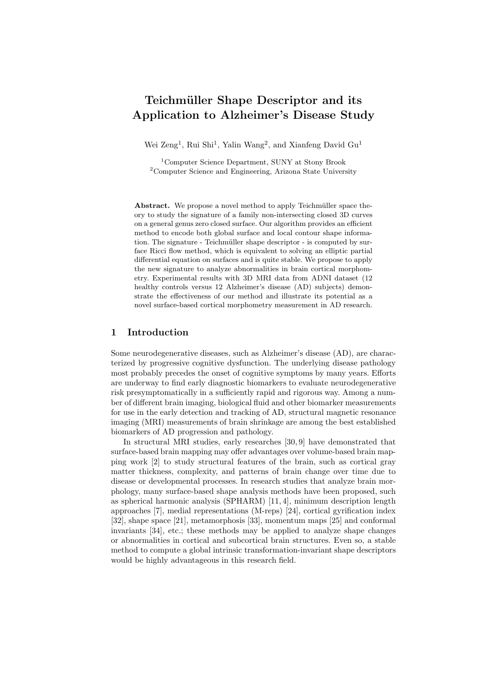# **Teichm¨uller Shape Descriptor and its Application to Alzheimer's Disease Study**

Wei Zeng<sup>1</sup>, Rui Shi<sup>1</sup>, Yalin Wang<sup>2</sup>, and Xianfeng David  $Gu<sup>1</sup>$ 

<sup>1</sup>Computer Science Department, SUNY at Stony Brook <sup>2</sup>Computer Science and Engineering, Arizona State University

**Abstract.** We propose a novel method to apply Teichmüller space theory to study the signature of a family non-intersecting closed 3D curves on a general genus zero closed surface. Our algorithm provides an efficient method to encode both global surface and local contour shape information. The signature - Teichmüller shape descriptor - is computed by surface Ricci flow method, which is equivalent to solving an elliptic partial differential equation on surfaces and is quite stable. We propose to apply the new signature to analyze abnormalities in brain cortical morphometry. Experimental results with 3D MRI data from ADNI dataset (12 healthy controls versus 12 Alzheimer's disease (AD) subjects) demonstrate the effectiveness of our method and illustrate its potential as a novel surface-based cortical morphometry measurement in AD research.

## **1 Introduction**

Some neurodegenerative diseases, such as Alzheimer's disease (AD), are characterized by progressive cognitive dysfunction. The underlying disease pathology most probably precedes the onset of cognitive symptoms by many years. Efforts are underway to find early diagnostic biomarkers to evaluate neurodegenerative risk presymptomatically in a sufficiently rapid and rigorous way. Among a number of different brain imaging, biological fluid and other biomarker measurements for use in the early detection and tracking of AD, structural magnetic resonance imaging (MRI) measurements of brain shrinkage are among the best established biomarkers of AD progression and pathology.

In structural MRI studies, early researches [30, 9] have demonstrated that surface-based brain mapping may offer advantages over volume-based brain mapping work [2] to study structural features of the brain, such as cortical gray matter thickness, complexity, and patterns of brain change over time due to disease or developmental processes. In research studies that analyze brain morphology, many surface-based shape analysis methods have been proposed, such as spherical harmonic analysis (SPHARM) [11, 4], minimum description length approaches [7], medial representations (M-reps) [24], cortical gyrification index [32], shape space [21], metamorphosis [33], momentum maps [25] and conformal invariants [34], etc.; these methods may be applied to analyze shape changes or abnormalities in cortical and subcortical brain structures. Even so, a stable method to compute a global intrinsic transformation-invariant shape descriptors would be highly advantageous in this research field.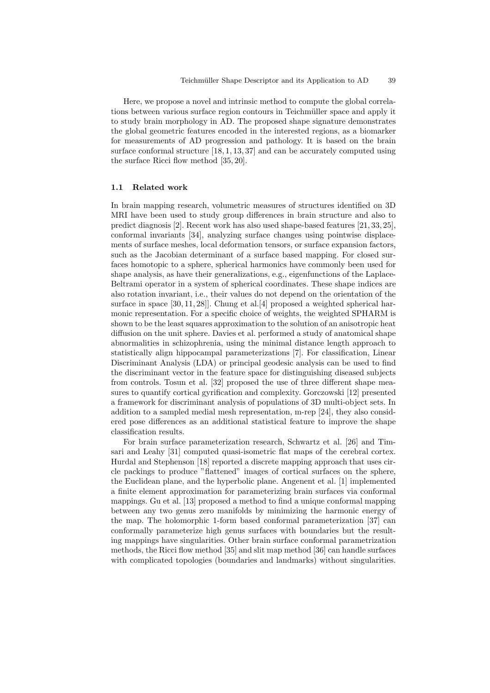Here, we propose a novel and intrinsic method to compute the global correlations between various surface region contours in Teichmüller space and apply it to study brain morphology in AD. The proposed shape signature demonstrates the global geometric features encoded in the interested regions, as a biomarker for measurements of AD progression and pathology. It is based on the brain surface conformal structure [18, 1, 13, 37] and can be accurately computed using the surface Ricci flow method [35, 20].

#### **1.1 Related work**

In brain mapping research, volumetric measures of structures identified on 3D MRI have been used to study group differences in brain structure and also to predict diagnosis [2]. Recent work has also used shape-based features [21, 33, 25], conformal invariants [34], analyzing surface changes using pointwise displacements of surface meshes, local deformation tensors, or surface expansion factors, such as the Jacobian determinant of a surface based mapping. For closed surfaces homotopic to a sphere, spherical harmonics have commonly been used for shape analysis, as have their generalizations, e.g., eigenfunctions of the Laplace-Beltrami operator in a system of spherical coordinates. These shape indices are also rotation invariant, i.e., their values do not depend on the orientation of the surface in space [30, 11, 28]]. Chung et al.[4] proposed a weighted spherical harmonic representation. For a specific choice of weights, the weighted SPHARM is shown to be the least squares approximation to the solution of an anisotropic heat diffusion on the unit sphere. Davies et al. performed a study of anatomical shape abnormalities in schizophrenia, using the minimal distance length approach to statistically align hippocampal parameterizations [7]. For classification, Linear Discriminant Analysis (LDA) or principal geodesic analysis can be used to find the discriminant vector in the feature space for distinguishing diseased subjects from controls. Tosun et al. [32] proposed the use of three different shape measures to quantify cortical gyrification and complexity. Gorczowski [12] presented a framework for discriminant analysis of populations of 3D multi-object sets. In addition to a sampled medial mesh representation, m-rep [24], they also considered pose differences as an additional statistical feature to improve the shape classification results.

For brain surface parameterization research, Schwartz et al. [26] and Timsari and Leahy [31] computed quasi-isometric flat maps of the cerebral cortex. Hurdal and Stephenson [18] reported a discrete mapping approach that uses circle packings to produce "flattened" images of cortical surfaces on the sphere, the Euclidean plane, and the hyperbolic plane. Angenent et al. [1] implemented a finite element approximation for parameterizing brain surfaces via conformal mappings. Gu et al. [13] proposed a method to find a unique conformal mapping between any two genus zero manifolds by minimizing the harmonic energy of the map. The holomorphic 1-form based conformal parameterization [37] can conformally parameterize high genus surfaces with boundaries but the resulting mappings have singularities. Other brain surface conformal parametrization methods, the Ricci flow method [35] and slit map method [36] can handle surfaces with complicated topologies (boundaries and landmarks) without singularities.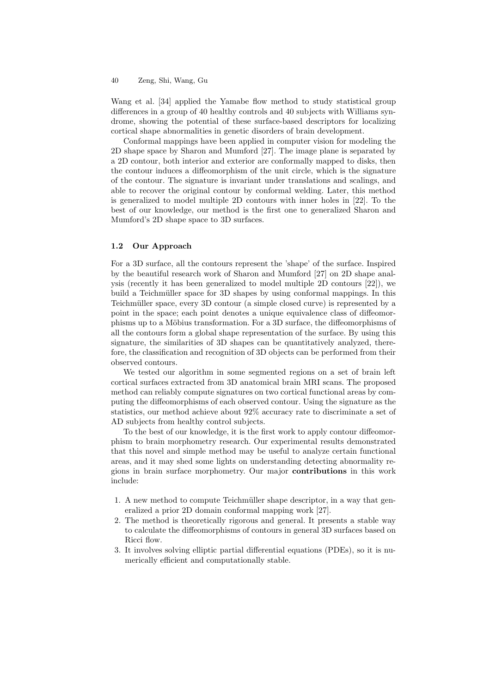Wang et al. [34] applied the Yamabe flow method to study statistical group differences in a group of 40 healthy controls and 40 subjects with Williams syndrome, showing the potential of these surface-based descriptors for localizing cortical shape abnormalities in genetic disorders of brain development.

Conformal mappings have been applied in computer vision for modeling the 2D shape space by Sharon and Mumford [27]. The image plane is separated by a 2D contour, both interior and exterior are conformally mapped to disks, then the contour induces a diffeomorphism of the unit circle, which is the signature of the contour. The signature is invariant under translations and scalings, and able to recover the original contour by conformal welding. Later, this method is generalized to model multiple 2D contours with inner holes in [22]. To the best of our knowledge, our method is the first one to generalized Sharon and Mumford's 2D shape space to 3D surfaces.

#### **1.2 Our Approach**

For a 3D surface, all the contours represent the 'shape' of the surface. Inspired by the beautiful research work of Sharon and Mumford [27] on 2D shape analysis (recently it has been generalized to model multiple 2D contours [22]), we build a Teichmüller space for 3D shapes by using conformal mappings. In this Teichmüller space, every 3D contour (a simple closed curve) is represented by a point in the space; each point denotes a unique equivalence class of diffeomorphisms up to a Möbius transformation. For a 3D surface, the diffeomorphisms of all the contours form a global shape representation of the surface. By using this signature, the similarities of 3D shapes can be quantitatively analyzed, therefore, the classification and recognition of 3D objects can be performed from their observed contours.

We tested our algorithm in some segmented regions on a set of brain left cortical surfaces extracted from 3D anatomical brain MRI scans. The proposed method can reliably compute signatures on two cortical functional areas by computing the diffeomorphisms of each observed contour. Using the signature as the statistics, our method achieve about 92% accuracy rate to discriminate a set of AD subjects from healthy control subjects.

To the best of our knowledge, it is the first work to apply contour diffeomorphism to brain morphometry research. Our experimental results demonstrated that this novel and simple method may be useful to analyze certain functional areas, and it may shed some lights on understanding detecting abnormality regions in brain surface morphometry. Our major **contributions** in this work include:

- 1. A new method to compute Teichmüller shape descriptor, in a way that generalized a prior 2D domain conformal mapping work [27].
- 2. The method is theoretically rigorous and general. It presents a stable way to calculate the diffeomorphisms of contours in general 3D surfaces based on Ricci flow.
- 3. It involves solving elliptic partial differential equations (PDEs), so it is numerically efficient and computationally stable.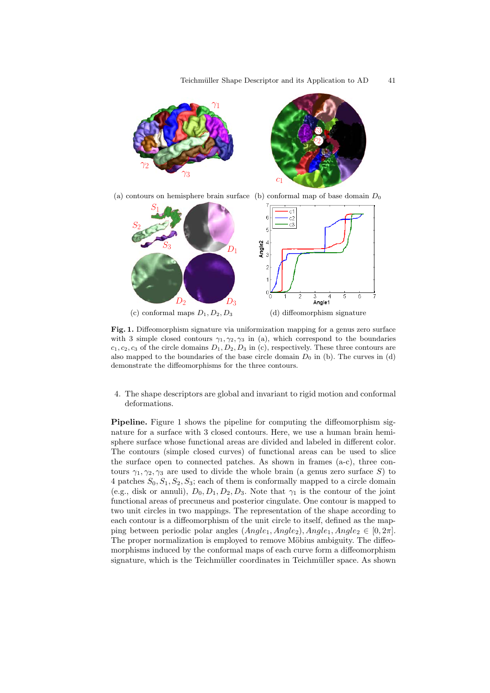

(a) contours on hemisphere brain surface (b) conformal map of base domain  $D_0$ 



Fig. 1. Diffeomorphism signature via uniformization mapping for a genus zero surface with 3 simple closed contours  $\gamma_1, \gamma_2, \gamma_3$  in (a), which correspond to the boundaries  $c_1, c_2, c_3$  of the circle domains  $D_1, D_2, D_3$  in (c), respectively. These three contours are also mapped to the boundaries of the base circle domain  $D_0$  in (b). The curves in (d) demonstrate the diffeomorphisms for the three contours.

4. The shape descriptors are global and invariant to rigid motion and conformal deformations.

**Pipeline.** Figure 1 shows the pipeline for computing the diffeomorphism signature for a surface with 3 closed contours. Here, we use a human brain hemisphere surface whose functional areas are divided and labeled in different color. The contours (simple closed curves) of functional areas can be used to slice the surface open to connected patches. As shown in frames (a-c), three contours  $\gamma_1, \gamma_2, \gamma_3$  are used to divide the whole brain (a genus zero surface S) to 4 patches  $S_0, S_1, S_2, S_3$ ; each of them is conformally mapped to a circle domain (e.g., disk or annuli),  $D_0, D_1, D_2, D_3$ . Note that  $\gamma_1$  is the contour of the joint functional areas of precuneus and posterior cingulate. One contour is mapped to two unit circles in two mappings. The representation of the shape according to each contour is a diffeomorphism of the unit circle to itself, defined as the mapping between periodic polar angles  $(Angle_1, Angle_2), Angle_1, Angle_2 \in [0, 2\pi].$ The proper normalization is employed to remove Möbius ambiguity. The diffeomorphisms induced by the conformal maps of each curve form a diffeomorphism signature, which is the Teichmüller coordinates in Teichmüller space. As shown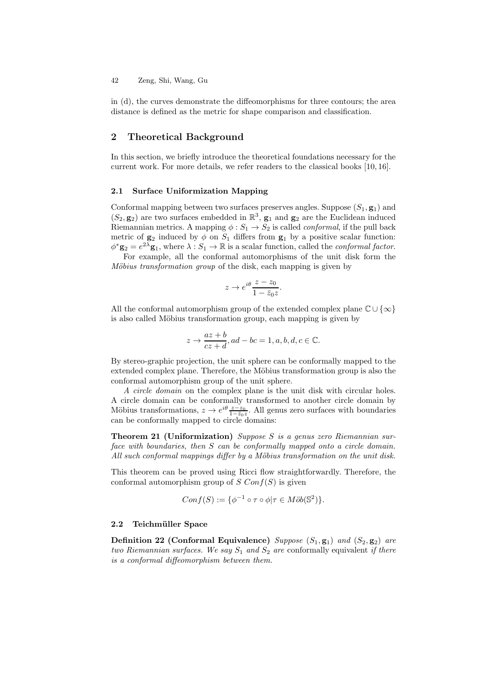in (d), the curves demonstrate the diffeomorphisms for three contours; the area distance is defined as the metric for shape comparison and classification.

## **2 Theoretical Background**

In this section, we briefly introduce the theoretical foundations necessary for the current work. For more details, we refer readers to the classical books [10, 16].

#### **2.1 Surface Uniformization Mapping**

Conformal mapping between two surfaces preserves angles. Suppose  $(S_1, \mathbf{g}_1)$  and  $(S_2, \mathbf{g}_2)$  are two surfaces embedded in  $\mathbb{R}^3$ ,  $\mathbf{g}_1$  and  $\mathbf{g}_2$  are the Euclidean induced Riemannian metrics. A mapping  $\phi: S_1 \to S_2$  is called *conformal*, if the pull back metric of  $\mathbf{g}_2$  induced by  $\phi$  on  $S_1$  differs from  $\mathbf{g}_1$  by a positive scalar function:  $\phi^*$ **g**<sub>2</sub> =  $e^{2\lambda}$ **g**<sub>1</sub>, where  $\lambda : S_1 \to \mathbb{R}$  is a scalar function, called the *conformal factor*.

For example, all the conformal automorphisms of the unit disk form the *Möbius transformation group* of the disk, each mapping is given by

$$
z \to e^{i\theta} \frac{z - z_0}{1 - \bar{z}_0 z}.
$$

All the conformal automorphism group of the extended complex plane  $\mathbb{C} \cup \{\infty\}$ is also called Möbius transformation group, each mapping is given by

$$
z \to \frac{az+b}{cz+d}, ad-bc = 1, a, b, d, c \in \mathbb{C}.
$$

By stereo-graphic projection, the unit sphere can be conformally mapped to the extended complex plane. Therefore, the Möbius transformation group is also the conformal automorphism group of the unit sphere.

*A circle domain* on the complex plane is the unit disk with circular holes. A circle domain can be conformally transformed to another circle domain by Möbius transformations,  $z \to e^{i\theta} \frac{z-z_0}{1-\bar{z}_0 z}$ . All genus zero surfaces with boundaries can be conformally mapped to circle domains:

**Theorem 21 (Uniformization)** *Suppose* S *is a genus zero Riemannian surface with boundaries, then* S *can be conformally mapped onto a circle domain.* All such conformal mappings differ by a Möbius transformation on the unit disk.

This theorem can be proved using Ricci flow straightforwardly. Therefore, the conformal automorphism group of  $S$  Con $f(S)$  is given

$$
Conf(S) := \{ \phi^{-1} \circ \tau \circ \phi | \tau \in M \ddot{o}b(\mathbb{S}^2) \}.
$$

#### 2.2 Teichmüller Space

**Definition 22 (Conformal Equivalence)** *Suppose*  $(S_1, g_1)$  *and*  $(S_2, g_2)$  *are two Riemannian surfaces. We say*  $S_1$  *and*  $S_2$  *are* conformally equivalent *if there is a conformal diffeomorphism between them.*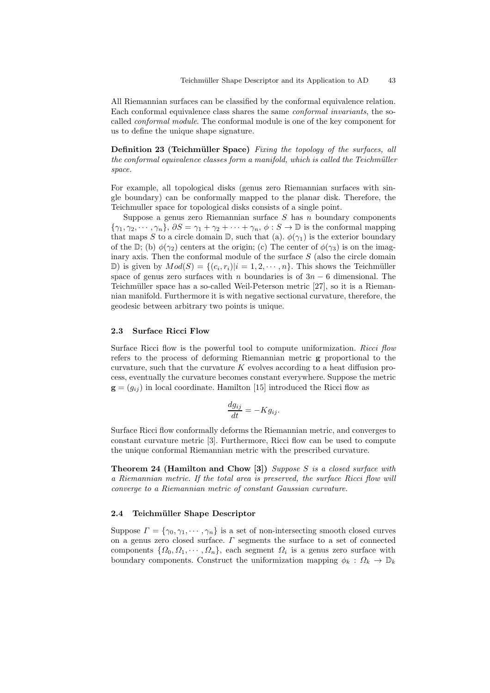All Riemannian surfaces can be classified by the conformal equivalence relation. Each conformal equivalence class shares the same *conformal invariants*, the socalled *conformal module*. The conformal module is one of the key component for us to define the unique shape signature.

**Definition 23 (Teichmüller Space)** *Fixing the topology of the surfaces, all the conformal equivalence classes form a manifold, which is called the Teichmüller space.*

For example, all topological disks (genus zero Riemannian surfaces with single boundary) can be conformally mapped to the planar disk. Therefore, the Teichmuller space for topological disks consists of a single point.

Suppose a genus zero Riemannian surface  $S$  has  $n$  boundary components  ${\gamma_1, \gamma_2, \cdots, \gamma_n}, \ \partial S = \gamma_1 + \gamma_2 + \cdots + \gamma_n, \ \phi : S \to \mathbb{D}$  is the conformal mapping that maps S to a circle domain  $\mathbb{D}$ , such that (a).  $\phi(\gamma_1)$  is the exterior boundary of the D; (b)  $\phi(\gamma_2)$  centers at the origin; (c) The center of  $\phi(\gamma_3)$  is on the imaginary axis. Then the conformal module of the surface  $S$  (also the circle domain D) is given by  $Mod(S) = \{(c_i, r_i)|i = 1, 2, \dots, n\}$ . This shows the Teichmüller space of genus zero surfaces with n boundaries is of  $3n - 6$  dimensional. The Teichmüller space has a so-called Weil-Peterson metric [27], so it is a Riemannian manifold. Furthermore it is with negative sectional curvature, therefore, the geodesic between arbitrary two points is unique.

#### **2.3 Surface Ricci Flow**

Surface Ricci flow is the powerful tool to compute uniformization. *Ricci flow* refers to the process of deforming Riemannian metric **g** proportional to the curvature, such that the curvature  $K$  evolves according to a heat diffusion process, eventually the curvature becomes constant everywhere. Suppose the metric  **in local coordinate. Hamilton [15] introduced the Ricci flow as** 

$$
\frac{dg_{ij}}{dt} = -Kg_{ij}.
$$

Surface Ricci flow conformally deforms the Riemannian metric, and converges to constant curvature metric [3]. Furthermore, Ricci flow can be used to compute the unique conformal Riemannian metric with the prescribed curvature.

**Theorem 24 (Hamilton and Chow [3])** *Suppose* S *is a closed surface with a Riemannian metric. If the total area is preserved, the surface Ricci flow will converge to a Riemannian metric of constant Gaussian curvature.*

#### **2.4 Teichm¨uller Shape Descriptor**

Suppose  $\Gamma = \{\gamma_0, \gamma_1, \cdots, \gamma_n\}$  is a set of non-intersecting smooth closed curves on a genus zero closed surface.  $\Gamma$  segments the surface to a set of connected components  $\{\Omega_0, \Omega_1, \cdots, \Omega_n\}$ , each segment  $\Omega_i$  is a genus zero surface with boundary components. Construct the uniformization mapping  $\phi_k : \Omega_k \to \mathbb{D}_k$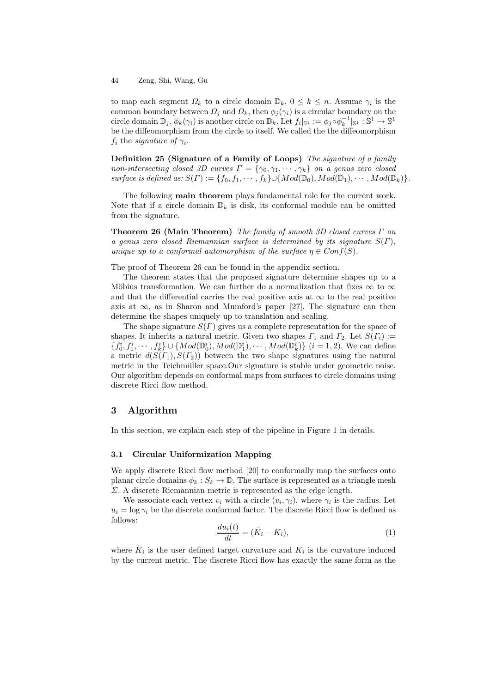to map each segment  $\Omega_k$  to a circle domain  $\mathbb{D}_k$ ,  $0 \leq k \leq n$ . Assume  $\gamma_i$  is the common boundary between  $\Omega_j$  and  $\Omega_k$ , then  $\phi_j(\gamma_i)$  is a circular boundary on the circle domain  $\mathbb{D}_j$ ,  $\phi_k(\gamma_i)$  is another circle on  $\mathbb{D}_k$ . Let  $f_i|_{\mathbb{S}^1} := \phi_j \circ \phi_k^{-1}|_{\mathbb{S}^1} : \mathbb{S}^1 \to \mathbb{S}^1$ be the diffeomorphism from the circle to itself. We called the the diffeomorphism  $f_i$  the *signature of*  $\gamma_i$ .

**Definition 25 (Signature of a Family of Loops)** *The signature of a family non-intersecting closed 3D curves*  $\Gamma = \{\gamma_0, \gamma_1, \cdots, \gamma_k\}$  *on a genus zero closed surface is defined as:*  $S(\Gamma) := \{f_0, f_1, \cdots, f_k\} \cup \{Mod(\mathbb{D}_0), Mod(\mathbb{D}_1), \cdots, Mod(\mathbb{D}_k)\}.$ 

The following **main theorem** plays fundamental role for the current work. Note that if a circle domain  $\mathbb{D}_k$  is disk, its conformal module can be omitted from the signature.

**Theorem 26 (Main Theorem)** *The family of smooth 3D closed curves* Γ *on a genus zero closed Riemannian surface is determined by its signature* S(Γ)*, unique up to a conformal automorphism of the surface*  $\eta \in Conf(S)$ *.* 

The proof of Theorem 26 can be found in the appendix section.

The theorem states that the proposed signature determine shapes up to a Möbius transformation. We can further do a normalization that fixes  $\infty$  to  $\infty$ and that the differential carries the real positive axis at  $\infty$  to the real positive axis at  $\infty$ , as in Sharon and Mumford's paper [27]. The signature can then determine the shapes uniquely up to translation and scaling.

The shape signature  $S(\Gamma)$  gives us a complete representation for the space of shapes. It inherits a natural metric. Given two shapes  $\Gamma_1$  and  $\Gamma_2$ . Let  $S(\Gamma_i) :=$  $\{f_0^i, f_1^i, \dots, f_k^i\} \cup \{Mod(\mathbb{D}_0^i), Mod(\mathbb{D}_1^i), \dots, Mod(\mathbb{D}_k^i)\}$   $(i = 1, 2)$ . We can define a metric  $d(S(T_1), S(T_2))$  between the two shape signatures using the natural metric in the Teichmüller space.Our signature is stable under geometric noise. Our algorithm depends on conformal maps from surfaces to circle domains using discrete Ricci flow method.

# **3 Algorithm**

In this section, we explain each step of the pipeline in Figure 1 in details.

### **3.1 Circular Uniformization Mapping**

We apply discrete Ricci flow method [20] to conformally map the surfaces onto planar circle domains  $\phi_k : S_k \to \mathbb{D}$ . The surface is represented as a triangle mesh Σ. A discrete Riemannian metric is represented as the edge length.

We associate each vertex  $v_i$  with a circle  $(v_i, \gamma_i)$ , where  $\gamma_i$  is the radius. Let  $u_i = \log \gamma_i$  be the discrete conformal factor. The discrete Ricci flow is defined as follows:

$$
\frac{du_i(t)}{dt} = (\bar{K}_i - K_i),\tag{1}
$$

where  $\bar{K}_i$  is the user defined target curvature and  $K_i$  is the curvature induced by the current metric. The discrete Ricci flow has exactly the same form as the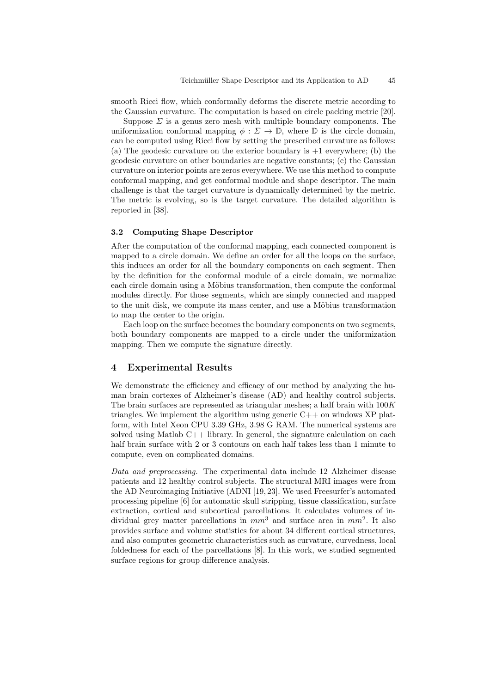smooth Ricci flow, which conformally deforms the discrete metric according to the Gaussian curvature. The computation is based on circle packing metric [20].

Suppose  $\Sigma$  is a genus zero mesh with multiple boundary components. The uniformization conformal mapping  $\phi : \Sigma \to \mathbb{D}$ , where  $\mathbb{D}$  is the circle domain, can be computed using Ricci flow by setting the prescribed curvature as follows: (a) The geodesic curvature on the exterior boundary is  $+1$  everywhere; (b) the geodesic curvature on other boundaries are negative constants; (c) the Gaussian curvature on interior points are zeros everywhere. We use this method to compute conformal mapping, and get conformal module and shape descriptor. The main challenge is that the target curvature is dynamically determined by the metric. The metric is evolving, so is the target curvature. The detailed algorithm is reported in [38].

# **3.2 Computing Shape Descriptor**

After the computation of the conformal mapping, each connected component is mapped to a circle domain. We define an order for all the loops on the surface, this induces an order for all the boundary components on each segment. Then by the definition for the conformal module of a circle domain, we normalize each circle domain using a Möbius transformation, then compute the conformal modules directly. For those segments, which are simply connected and mapped to the unit disk, we compute its mass center, and use a Möbius transformation to map the center to the origin.

Each loop on the surface becomes the boundary components on two segments, both boundary components are mapped to a circle under the uniformization mapping. Then we compute the signature directly.

# **4 Experimental Results**

We demonstrate the efficiency and efficacy of our method by analyzing the human brain cortexes of Alzheimer's disease (AD) and healthy control subjects. The brain surfaces are represented as triangular meshes; a half brain with  $100K$ triangles. We implement the algorithm using generic  $C++$  on windows XP platform, with Intel Xeon CPU 3.39 GHz, 3.98 G RAM. The numerical systems are solved using Matlab C++ library. In general, the signature calculation on each half brain surface with 2 or 3 contours on each half takes less than 1 minute to compute, even on complicated domains.

*Data and preprocessing.* The experimental data include 12 Alzheimer disease patients and 12 healthy control subjects. The structural MRI images were from the AD Neuroimaging Initiative (ADNI [19, 23]. We used Freesurfer's automated processing pipeline [6] for automatic skull stripping, tissue classification, surface extraction, cortical and subcortical parcellations. It calculates volumes of individual grey matter parcellations in  $mm^3$  and surface area in  $mm^2$ . It also provides surface and volume statistics for about 34 different cortical structures, and also computes geometric characteristics such as curvature, curvedness, local foldedness for each of the parcellations [8]. In this work, we studied segmented surface regions for group difference analysis.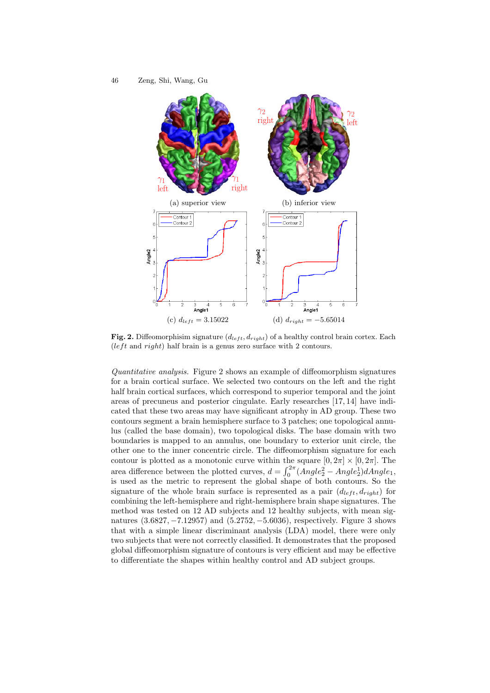

Fig. 2. Diffeomorphisim signature  $(d_{left}, d_{right})$  of a healthy control brain cortex. Each  $(left and right)$  half brain is a genus zero surface with 2 contours.

*Quantitative analysis.* Figure 2 shows an example of diffeomorphism signatures for a brain cortical surface. We selected two contours on the left and the right half brain cortical surfaces, which correspond to superior temporal and the joint areas of precuneus and posterior cingulate. Early researches [17, 14] have indicated that these two areas may have significant atrophy in AD group. These two contours segment a brain hemisphere surface to 3 patches; one topological annulus (called the base domain), two topological disks. The base domain with two boundaries is mapped to an annulus, one boundary to exterior unit circle, the other one to the inner concentric circle. The diffeomorphism signature for each contour is plotted as a monotonic curve within the square  $[0, 2\pi] \times [0, 2\pi]$ . The area difference between the plotted curves,  $d = \int_0^{2\pi} (Angle_2^2 - Angle_2^1) dAngle_1$ , is used as the metric to represent the global shape of both contours. So the signature of the whole brain surface is represented as a pair  $(d_{left}, d_{right})$  for combining the left-hemisphere and right-hemisphere brain shape signatures. The method was tested on 12 AD subjects and 12 healthy subjects, with mean signatures (3.6827, −7.12957) and (5.2752, −5.6036), respectively. Figure 3 shows that with a simple linear discriminant analysis (LDA) model, there were only two subjects that were not correctly classified. It demonstrates that the proposed global diffeomorphism signature of contours is very efficient and may be effective to differentiate the shapes within healthy control and AD subject groups.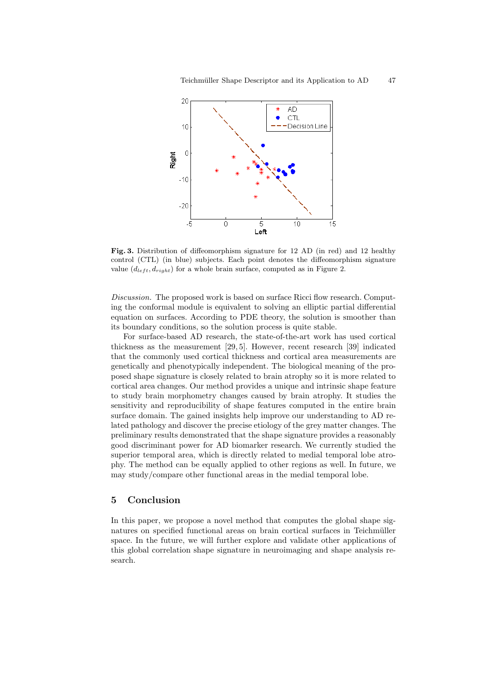

**Fig. 3.** Distribution of diffeomorphism signature for 12 AD (in red) and 12 healthy control (CTL) (in blue) subjects. Each point denotes the diffeomorphism signature value  $(d_{left}, d_{right})$  for a whole brain surface, computed as in Figure 2.

*Discussion.* The proposed work is based on surface Ricci flow research. Computing the conformal module is equivalent to solving an elliptic partial differential equation on surfaces. According to PDE theory, the solution is smoother than its boundary conditions, so the solution process is quite stable.

For surface-based AD research, the state-of-the-art work has used cortical thickness as the measurement [29, 5]. However, recent research [39] indicated that the commonly used cortical thickness and cortical area measurements are genetically and phenotypically independent. The biological meaning of the proposed shape signature is closely related to brain atrophy so it is more related to cortical area changes. Our method provides a unique and intrinsic shape feature to study brain morphometry changes caused by brain atrophy. It studies the sensitivity and reproducibility of shape features computed in the entire brain surface domain. The gained insights help improve our understanding to AD related pathology and discover the precise etiology of the grey matter changes. The preliminary results demonstrated that the shape signature provides a reasonably good discriminant power for AD biomarker research. We currently studied the superior temporal area, which is directly related to medial temporal lobe atrophy. The method can be equally applied to other regions as well. In future, we may study/compare other functional areas in the medial temporal lobe.

# **5 Conclusion**

In this paper, we propose a novel method that computes the global shape signatures on specified functional areas on brain cortical surfaces in Teichmüller space. In the future, we will further explore and validate other applications of this global correlation shape signature in neuroimaging and shape analysis research.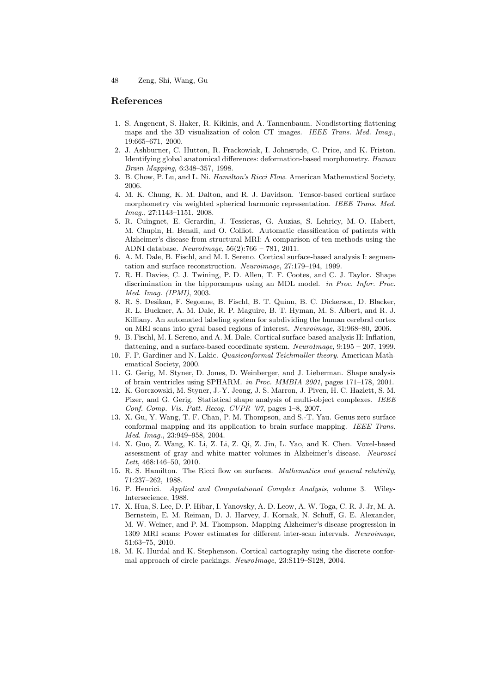#### **References**

- 1. S. Angenent, S. Haker, R. Kikinis, and A. Tannenbaum. Nondistorting flattening maps and the 3D visualization of colon CT images. *IEEE Trans. Med. Imag.*, 19:665–671, 2000.
- 2. J. Ashburner, C. Hutton, R. Frackowiak, I. Johnsrude, C. Price, and K. Friston. Identifying global anatomical differences: deformation-based morphometry. *Human Brain Mapping*, 6:348–357, 1998.
- 3. B. Chow, P. Lu, and L. Ni. *Hamilton's Ricci Flow*. American Mathematical Society, 2006.
- 4. M. K. Chung, K. M. Dalton, and R. J. Davidson. Tensor-based cortical surface morphometry via weighted spherical harmonic representation. *IEEE Trans. Med. Imag.*, 27:1143–1151, 2008.
- 5. R. Cuingnet, E. Gerardin, J. Tessieras, G. Auzias, S. Lehricy, M.-O. Habert, M. Chupin, H. Benali, and O. Colliot. Automatic classification of patients with Alzheimer's disease from structural MRI: A comparison of ten methods using the ADNI database. *NeuroImage*, 56(2):766 – 781, 2011.
- 6. A. M. Dale, B. Fischl, and M. I. Sereno. Cortical surface-based analysis I: segmentation and surface reconstruction. *Neuroimage*, 27:179–194, 1999.
- 7. R. H. Davies, C. J. Twining, P. D. Allen, T. F. Cootes, and C. J. Taylor. Shape discrimination in the hippocampus using an MDL model. *in Proc. Infor. Proc. Med. Imag. (IPMI)*, 2003.
- 8. R. S. Desikan, F. Segonne, B. Fischl, B. T. Quinn, B. C. Dickerson, D. Blacker, R. L. Buckner, A. M. Dale, R. P. Maguire, B. T. Hyman, M. S. Albert, and R. J. Killiany. An automated labeling system for subdividing the human cerebral cortex on MRI scans into gyral based regions of interest. *Neuroimage*, 31:968–80, 2006.
- 9. B. Fischl, M. I. Sereno, and A. M. Dale. Cortical surface-based analysis II: Inflation, flattening, and a surface-based coordinate system. *NeuroImage*, 9:195 – 207, 1999.
- 10. F. P. Gardiner and N. Lakic. *Quasiconformal Teichmuller theory*. American Mathematical Society, 2000.
- 11. G. Gerig, M. Styner, D. Jones, D. Weinberger, and J. Lieberman. Shape analysis of brain ventricles using SPHARM. *in Proc. MMBIA 2001*, pages 171–178, 2001.
- 12. K. Gorczowski, M. Styner, J.-Y. Jeong, J. S. Marron, J. Piven, H. C. Hazlett, S. M. Pizer, and G. Gerig. Statistical shape analysis of multi-object complexes. *IEEE Conf. Comp. Vis. Patt. Recog. CVPR '07*, pages 1–8, 2007.
- 13. X. Gu, Y. Wang, T. F. Chan, P. M. Thompson, and S.-T. Yau. Genus zero surface conformal mapping and its application to brain surface mapping. *IEEE Trans. Med. Imag.*, 23:949–958, 2004.
- 14. X. Guo, Z. Wang, K. Li, Z. Li, Z. Qi, Z. Jin, L. Yao, and K. Chen. Voxel-based assessment of gray and white matter volumes in Alzheimer's disease. *Neurosci Lett*, 468:146–50, 2010.
- 15. R. S. Hamilton. The Ricci flow on surfaces. *Mathematics and general relativity*, 71:237–262, 1988.
- 16. P. Henrici. *Applied and Computational Complex Analysis*, volume 3. Wiley-Intersecience, 1988.
- 17. X. Hua, S. Lee, D. P. Hibar, I. Yanovsky, A. D. Leow, A. W. Toga, C. R. J. Jr, M. A. Bernstein, E. M. Reiman, D. J. Harvey, J. Kornak, N. Schuff, G. E. Alexander, M. W. Weiner, and P. M. Thompson. Mapping Alzheimer's disease progression in 1309 MRI scans: Power estimates for different inter-scan intervals. *Neuroimage*, 51:63–75, 2010.
- 18. M. K. Hurdal and K. Stephenson. Cortical cartography using the discrete conformal approach of circle packings. *NeuroImage*, 23:S119–S128, 2004.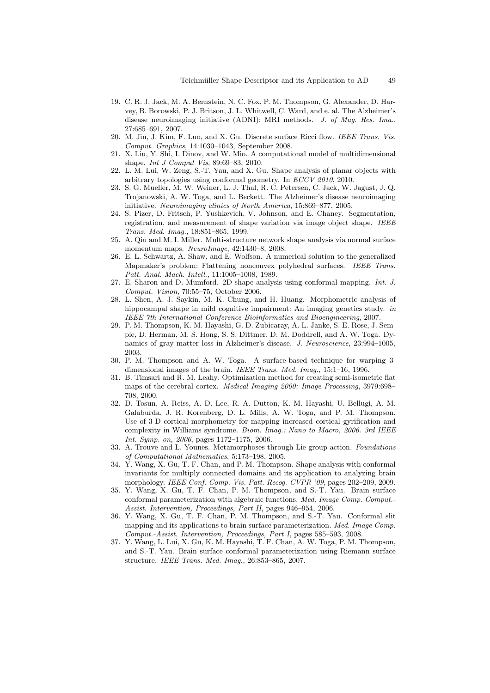- 19. C. R. J. Jack, M. A. Bernstein, N. C. Fox, P. M. Thompson, G. Alexander, D. Harvey, B. Borowski, P. J. Britson, J. L. Whitwell, C. Ward, and e. al. The Alzheimer's disease neuroimaging initiative (ADNI): MRI methods. *J. of Mag. Res. Ima.*, 27:685–691, 2007.
- 20. M. Jin, J. Kim, F. Luo, and X. Gu. Discrete surface Ricci flow. *IEEE Trans. Vis. Comput. Graphics*, 14:1030–1043, September 2008.
- 21. X. Liu, Y. Shi, I. Dinov, and W. Mio. A computational model of multidimensional shape. *Int J Comput Vis*, 89:69–83, 2010.
- 22. L. M. Lui, W. Zeng, S.-T. Yau, and X. Gu. Shape analysis of planar objects with arbitrary topologies using conformal geometry. In *ECCV 2010*, 2010.
- 23. S. G. Mueller, M. W. Weiner, L. J. Thal, R. C. Petersen, C. Jack, W. Jagust, J. Q. Trojanowski, A. W. Toga, and L. Beckett. The Alzheimer's disease neuroimaging initiative. *Neuroimaging clinics of North America*, 15:869–877, 2005.
- 24. S. Pizer, D. Fritsch, P. Yushkevich, V. Johnson, and E. Chaney. Segmentation, registration, and measurement of shape variation via image object shape. *IEEE Trans. Med. Imag.*, 18:851–865, 1999.
- 25. A. Qiu and M. I. Miller. Multi-structure network shape analysis via normal surface momentum maps. *NeuroImage*, 42:1430–8, 2008.
- 26. E. L. Schwartz, A. Shaw, and E. Wolfson. A numerical solution to the generalized Mapmaker's problem: Flattening nonconvex polyhedral surfaces. *IEEE Trans. Patt. Anal. Mach. Intell.*, 11:1005–1008, 1989.
- 27. E. Sharon and D. Mumford. 2D-shape analysis using conformal mapping. *Int. J. Comput. Vision*, 70:55–75, October 2006.
- 28. L. Shen, A. J. Saykin, M. K. Chung, and H. Huang. Morphometric analysis of hippocampal shape in mild cognitive impairment: An imaging genetics study. *in IEEE 7th International Conference Bioinformatics and Bioengineering*, 2007.
- 29. P. M. Thompson, K. M. Hayashi, G. D. Zubicaray, A. L. Janke, S. E. Rose, J. Semple, D. Herman, M. S. Hong, S. S. Dittmer, D. M. Doddrell, and A. W. Toga. Dynamics of gray matter loss in Alzheimer's disease. *J. Neuroscience*, 23:994–1005, 2003.
- 30. P. M. Thompson and A. W. Toga. A surface-based technique for warping 3 dimensional images of the brain. *IEEE Trans. Med. Imag.*, 15:1–16, 1996.
- 31. B. Timsari and R. M. Leahy. Optimization method for creating semi-isometric flat maps of the cerebral cortex. *Medical Imaging 2000: Image Processing*, 3979:698– 708, 2000.
- 32. D. Tosun, A. Reiss, A. D. Lee, R. A. Dutton, K. M. Hayashi, U. Bellugi, A. M. Galaburda, J. R. Korenberg, D. L. Mills, A. W. Toga, and P. M. Thompson. Use of 3-D cortical morphometry for mapping increased cortical gyrification and complexity in Williams syndrome. *Biom. Imag.: Nano to Macro, 2006. 3rd IEEE Int. Symp. on, 2006*, pages 1172–1175, 2006.
- 33. A. Trouve and L. Younes. Metamorphoses through Lie group action. *Foundations of Computational Mathematics*, 5:173–198, 2005.
- 34. Y. Wang, X. Gu, T. F. Chan, and P. M. Thompson. Shape analysis with conformal invariants for multiply connected domains and its application to analyzing brain morphology. *IEEE Conf. Comp. Vis. Patt. Recog. CVPR '09*, pages 202–209, 2009.
- 35. Y. Wang, X. Gu, T. F. Chan, P. M. Thompson, and S.-T. Yau. Brain surface conformal parameterization with algebraic functions. *Med. Image Comp. Comput.- Assist. Intervention, Proceedings, Part II*, pages 946–954, 2006.
- 36. Y. Wang, X. Gu, T. F. Chan, P. M. Thompson, and S.-T. Yau. Conformal slit mapping and its applications to brain surface parameterization. *Med. Image Comp. Comput.-Assist. Intervention, Proceedings, Part I*, pages 585–593, 2008.
- 37. Y. Wang, L. Lui, X. Gu, K. M. Hayashi, T. F. Chan, A. W. Toga, P. M. Thompson, and S.-T. Yau. Brain surface conformal parameterization using Riemann surface structure. *IEEE Trans. Med. Imag.*, 26:853–865, 2007.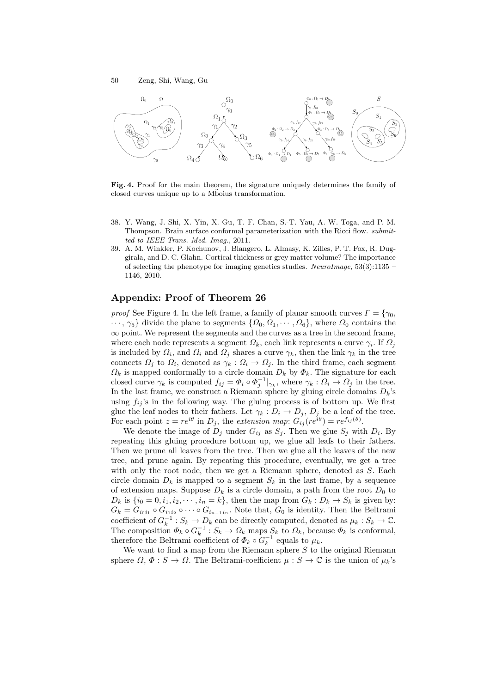

**Fig. 4.** Proof for the main theorem, the signature uniquely determines the family of closed curves unique up to a Mboius transformation.

- 38. Y. Wang, J. Shi, X. Yin, X. Gu, T. F. Chan, S.-T. Yau, A. W. Toga, and P. M. Thompson. Brain surface conformal parameterization with the Ricci flow. *submitted to IEEE Trans. Med. Imag.*, 2011.
- 39. A. M. Winkler, P. Kochunov, J. Blangero, L. Almasy, K. Zilles, P. T. Fox, R. Duggirala, and D. C. Glahn. Cortical thickness or grey matter volume? The importance of selecting the phenotype for imaging genetics studies. *NeuroImage*, 53(3):1135 – 1146, 2010.

## **Appendix: Proof of Theorem 26**

*proof* See Figure 4. In the left frame, a family of planar smooth curves  $\Gamma = \{ \gamma_0,$  $\cdots$ ,  $\gamma_5$ } divide the plane to segments  $\{\Omega_0, \Omega_1, \cdots, \Omega_6\}$ , where  $\Omega_0$  contains the  $\infty$  point. We represent the segments and the curves as a tree in the second frame, where each node represents a segment  $\Omega_k$ , each link represents a curve  $\gamma_i$ . If  $\Omega_j$ is included by  $\Omega_i$ , and  $\Omega_i$  and  $\Omega_j$  shares a curve  $\gamma_k$ , then the link  $\gamma_k$  in the tree connects  $\Omega_j$  to  $\Omega_i$ , denoted as  $\gamma_k : \Omega_i \to \Omega_j$ . In the third frame, each segment  $\Omega_k$  is mapped conformally to a circle domain  $D_k$  by  $\Phi_k$ . The signature for each closed curve  $\gamma_k$  is computed  $f_{ij} = \Phi_i \circ \Phi_j^{-1}|_{\gamma_k}$ , where  $\gamma_k : \Omega_i \to \Omega_j$  in the tree. In the last frame, we construct a Riemann sphere by gluing circle domains  $D_k$ 's using  $f_{ij}$ 's in the following way. The gluing process is of bottom up. We first glue the leaf nodes to their fathers. Let  $\gamma_k : D_i \to D_j$ ,  $D_j$  be a leaf of the tree. For each point  $z = re^{i\theta}$  in  $D_j$ , the *extension map*:  $G_{ij}(re^{i\theta}) = re^{f_{ij}(\theta)}$ .<br>We denote the image of D, under  $C$ , as  $S$ . Then we also  $S$ , with

We denote the image of  $D_i$  under  $G_{ij}$  as  $S_j$ . Then we glue  $S_j$  with  $D_i$ . By repeating this gluing procedure bottom up, we glue all leafs to their fathers. Then we prune all leaves from the tree. Then we glue all the leaves of the new tree, and prune again. By repeating this procedure, eventually, we get a tree with only the root node, then we get a Riemann sphere, denoted as S. Each circle domain  $D_k$  is mapped to a segment  $S_k$  in the last frame, by a sequence of extension maps. Suppose  $D_k$  is a circle domain, a path from the root  $D_0$  to  $D_k$  is  $\{i_0 = 0, i_1, i_2, \dots, i_n = k\}$ , then the map from  $G_k : D_k \to S_k$  is given by:  $G_k = G_{i_0 i_1} \circ G_{i_1 i_2} \circ \cdots \circ G_{i_{n-1} i_n}$ . Note that,  $G_0$  is identity. Then the Beltrami coefficient of  $G_k^{-1}: S_k \to D_k$  can be directly computed, denoted as  $\mu_k: S_k \to \mathbb{C}$ .<br>The composition  $\Phi_k \circ G^{-1}: S_k \to \Omega$ , maps  $S_k$  to  $\Omega_k$ , because  $\Phi_k$  is conformal. The composition  $\Phi_k \circ G_k^{-1} : S_k \to \Omega_k$  maps  $S_k$  to  $\Omega_k$ , because  $\Phi_k$  is conformal, therefore the Beltrami coefficient of  $\Phi_k \circ G_k^{-1}$  equals to  $\mu_k$ therefore the Beltrami coefficient of  $\Phi_k \circ G_k^{-1}$  equals to  $\mu_k$ .<br>We want to find a map from the Biemann sphere S to t

We want to find a map from the Riemann sphere  $S$  to the original Riemann sphere  $\Omega, \Phi: S \to \Omega$ . The Beltrami-coefficient  $\mu: S \to \mathbb{C}$  is the union of  $\mu_k$ 's